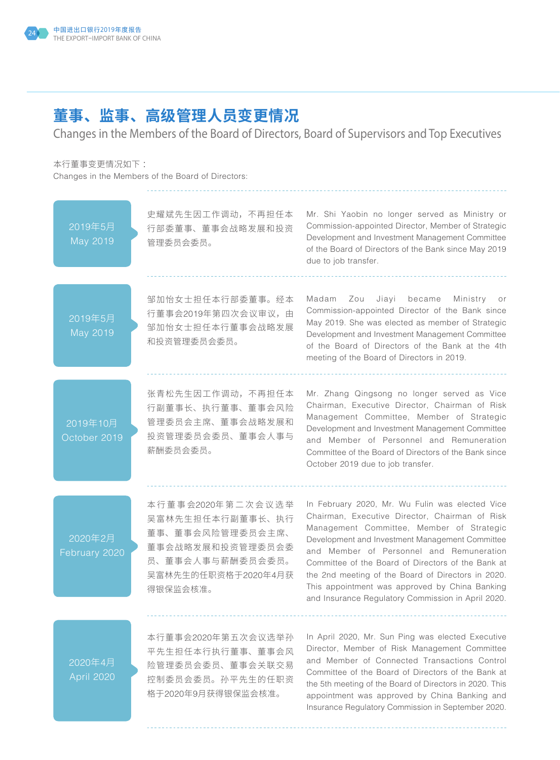## **董事、监事、高级管理人员变更情况**

Changes in the Members of the Board of Directors, Board of Supervisors and Top Executives

本行董事变更情况如下 :

Changes in the Members of the Board of Directors:



Insurance Regulatory Commission in September 2020.